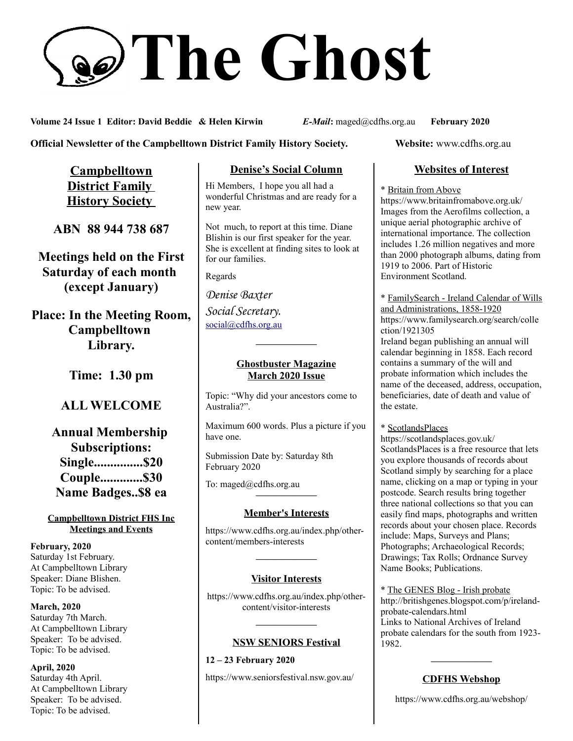# **The Ghost**

**Volume 24 Issue 1 Editor: David Beddie & Helen Kirwin** *E-Mail***:** maged@cdfhs.org.au **February 2020**

## **Official Newsletter of the Campbelltown District Family History Society. Website: www.cdfhs.org.au**

**Campbelltown District Family History Society** 

**ABN 88 944 738 687**

**Meetings held on the First Saturday of each month (except January)**

**Place: In the Meeting Room, Campbelltown Library.**

**Time: 1.30 pm**

# **ALL WELCOME**

**Annual Membership Subscriptions: Single...............\$20 Couple.............\$30 Name Badges..\$8 ea**

#### **Campbelltown District FHS Inc Meetings and Events**

**February, 2020** Saturday 1st February. At Campbelltown Library Speaker: Diane Blishen. Topic: To be advised.

**March, 2020** Saturday 7th March. At Campbelltown Library Speaker: To be advised. Topic: To be advised.

**April, 2020** Saturday 4th April. At Campbelltown Library Speaker: To be advised. Topic: To be advised.

# **Denise's Social Column**

Hi Members, I hope you all had a wonderful Christmas and are ready for a new year.

Not much, to report at this time. Diane Blishin is our first speaker for the year. She is excellent at finding sites to look at for our families.

Regards

*Denise Baxter Social Secretary.* [social@cdfhs.org.au](mailto:social@cdfhs.org.au)

## **Ghostbuster Magazine March 2020 Issue**

**——————–**

Topic: "Why did your ancestors come to Australia?".

Maximum 600 words. Plus a picture if you have one.

Submission Date by: Saturday 8th February 2020

To: maged@cdfhs.org.au **——————–**

## **Member's Interests**

https://www.cdfhs.org.au/index.php/othercontent/members-interests

## **Visitor Interests**

**——————–**

https://www.cdfhs.org.au/index.php/othercontent/visitor-interests

**——————–**

#### **NSW SENIORS Festival**

**12 – 23 February 2020** https://www.seniorsfestival.nsw.gov.au/

# **Websites of Interest**

\* Britain from Above

https://www.britainfromabove.org.uk/ Images from the Aerofilms collection, a unique aerial photographic archive of international importance. The collection includes 1.26 million negatives and more than 2000 photograph albums, dating from 1919 to 2006. Part of Historic Environment Scotland.

\* FamilySearch - Ireland Calendar of Wills and Administrations, 1858-1920 https://www.familysearch.org/search/colle ction/1921305

Ireland began publishing an annual will calendar beginning in 1858. Each record contains a summary of the will and probate information which includes the name of the deceased, address, occupation, beneficiaries, date of death and value of the estate.

\* ScotlandsPlaces

https://scotlandsplaces.gov.uk/ ScotlandsPlaces is a free resource that lets you explore thousands of records about Scotland simply by searching for a place name, clicking on a map or typing in your postcode. Search results bring together three national collections so that you can easily find maps, photographs and written records about your chosen place. Records include: Maps, Surveys and Plans; Photographs; Archaeological Records; Drawings; Tax Rolls; Ordnance Survey Name Books; Publications.

\* The GENES Blog - Irish probate http://britishgenes.blogspot.com/p/irelandprobate-calendars.html Links to National Archives of Ireland probate calendars for the south from 1923- 1982.

# **——————– CDFHS Webshop**

https://www.cdfhs.org.au/webshop/